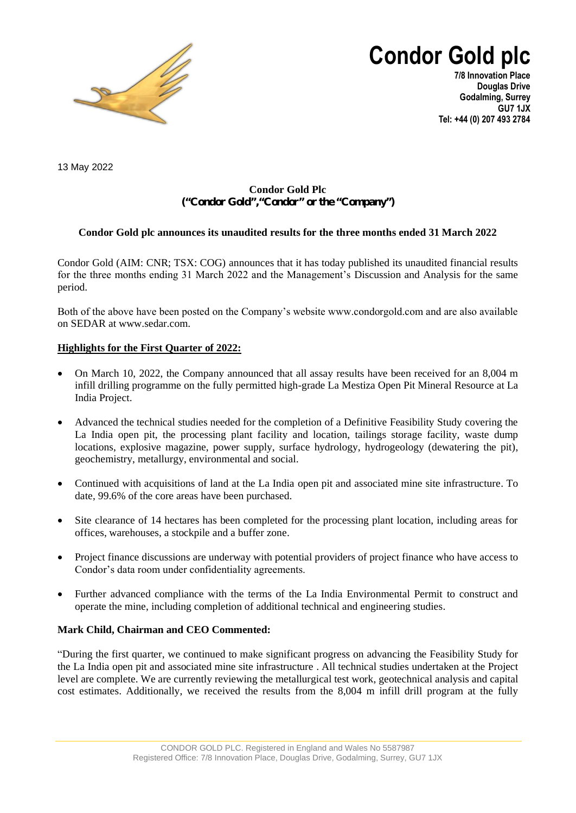

**Condor Gold plc**

**7/8 Innovation Place Douglas Drive Godalming, Surrey GU7 1JX Tel: +44 (0) 207 493 2784**

13 May 2022

# **Condor Gold Plc ("Condor Gold","Condor" or the "Company")**

# **Condor Gold plc announces its unaudited results for the three months ended 31 March 2022**

Condor Gold (AIM: CNR; TSX: COG) announces that it has today published its unaudited financial results for the three months ending 31 March 2022 and the Management's Discussion and Analysis for the same period.

Both of the above have been posted on the Company's website www.condorgold.com and are also available on SEDAR at www.sedar.com.

## **Highlights for the First Quarter of 2022:**

- On March 10, 2022, the Company announced that all assay results have been received for an 8,004 m infill drilling programme on the fully permitted high-grade La Mestiza Open Pit Mineral Resource at La India Project.
- Advanced the technical studies needed for the completion of a Definitive Feasibility Study covering the La India open pit, the processing plant facility and location, tailings storage facility, waste dump locations, explosive magazine, power supply, surface hydrology, hydrogeology (dewatering the pit), geochemistry, metallurgy, environmental and social.
- Continued with acquisitions of land at the La India open pit and associated mine site infrastructure. To date, 99.6% of the core areas have been purchased.
- Site clearance of 14 hectares has been completed for the processing plant location, including areas for offices, warehouses, a stockpile and a buffer zone.
- Project finance discussions are underway with potential providers of project finance who have access to Condor's data room under confidentiality agreements.
- Further advanced compliance with the terms of the La India Environmental Permit to construct and operate the mine, including completion of additional technical and engineering studies.

## **Mark Child, Chairman and CEO Commented:**

"During the first quarter, we continued to make significant progress on advancing the Feasibility Study for the La India open pit and associated mine site infrastructure . All technical studies undertaken at the Project level are complete. We are currently reviewing the metallurgical test work, geotechnical analysis and capital cost estimates. Additionally, we received the results from the 8,004 m infill drill program at the fully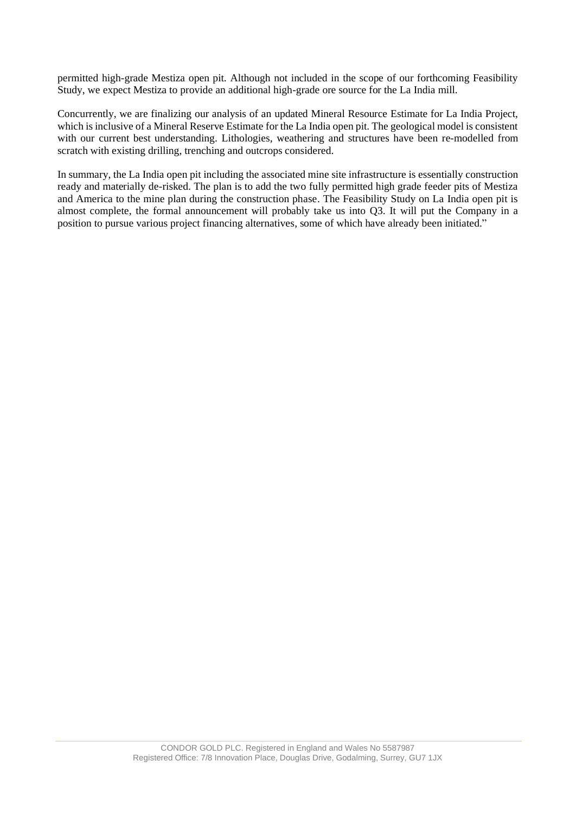permitted high-grade Mestiza open pit. Although not included in the scope of our forthcoming Feasibility Study, we expect Mestiza to provide an additional high-grade ore source for the La India mill.

Concurrently, we are finalizing our analysis of an updated Mineral Resource Estimate for La India Project, which is inclusive of a Mineral Reserve Estimate for the La India open pit. The geological model is consistent with our current best understanding. Lithologies, weathering and structures have been re-modelled from scratch with existing drilling, trenching and outcrops considered.

In summary, the La India open pit including the associated mine site infrastructure is essentially construction ready and materially de-risked. The plan is to add the two fully permitted high grade feeder pits of Mestiza and America to the mine plan during the construction phase. The Feasibility Study on La India open pit is almost complete, the formal announcement will probably take us into Q3. It will put the Company in a position to pursue various project financing alternatives, some of which have already been initiated."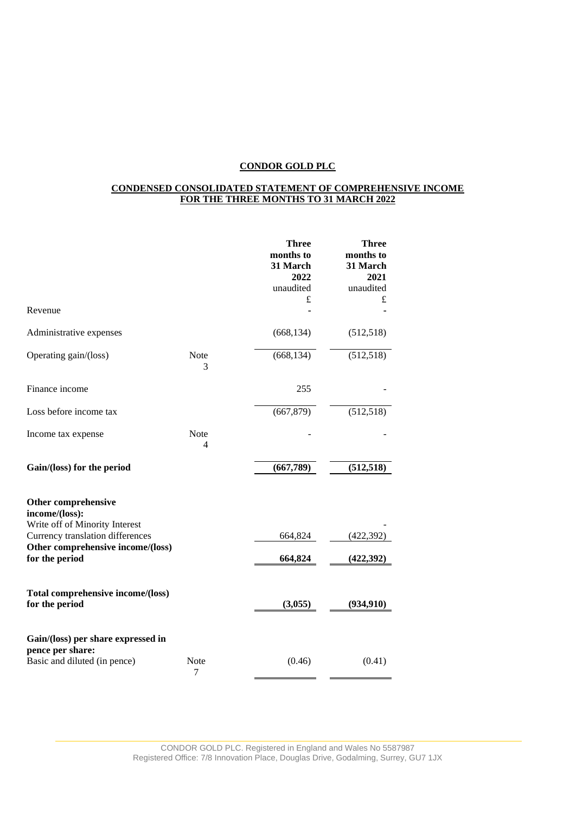## **CONDENSED CONSOLIDATED STATEMENT OF COMPREHENSIVE INCOME FOR THE THREE MONTHS TO 31 MARCH 2022**

|                                                                    |                  | <b>Three</b><br>months to<br>31 March<br>2022<br>unaudited | <b>Three</b><br>months to<br>31 March<br>2021<br>unaudited |
|--------------------------------------------------------------------|------------------|------------------------------------------------------------|------------------------------------------------------------|
| Revenue                                                            |                  | £                                                          | £                                                          |
| Administrative expenses                                            |                  | (668, 134)                                                 | (512, 518)                                                 |
| Operating gain/(loss)                                              | <b>Note</b><br>3 | (668, 134)                                                 | (512, 518)                                                 |
| Finance income                                                     |                  | 255                                                        |                                                            |
| Loss before income tax                                             |                  | (667, 879)                                                 | (512, 518)                                                 |
| Income tax expense                                                 | Note<br>4        |                                                            |                                                            |
| Gain/(loss) for the period                                         |                  | (667,789)                                                  | (512, 518)                                                 |
| Other comprehensive<br>income/(loss):                              |                  |                                                            |                                                            |
| Write off of Minority Interest<br>Currency translation differences |                  | 664,824                                                    | (422, 392)                                                 |
| Other comprehensive income/(loss)<br>for the period                |                  | 664,824                                                    | (422, 392)                                                 |
| Total comprehensive income/(loss)<br>for the period                |                  | (3,055)                                                    | (934, 910)                                                 |
| Gain/(loss) per share expressed in<br>pence per share:             |                  |                                                            |                                                            |
| Basic and diluted (in pence)                                       | Note<br>7        | (0.46)                                                     | (0.41)                                                     |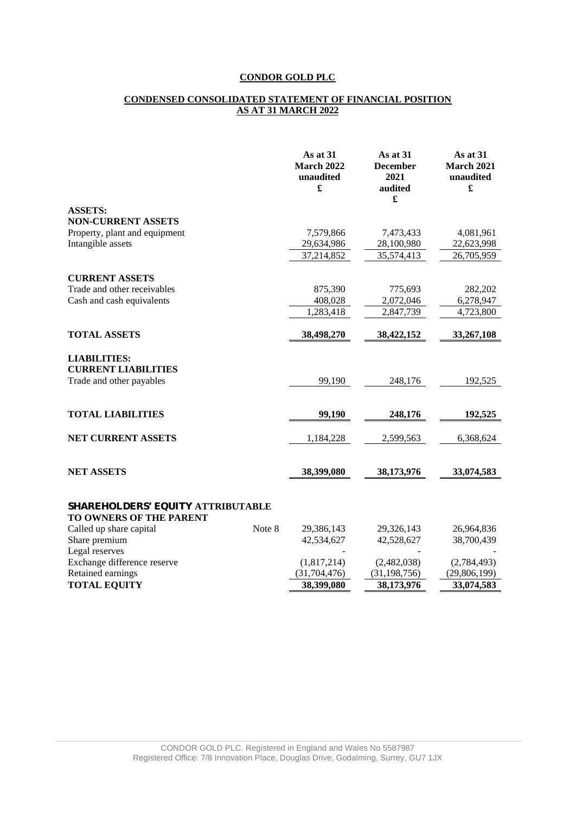#### **CONDENSED CONSOLIDATED STATEMENT OF FINANCIAL POSITION AS AT 31 MARCH 2022**

|                                                                               | As at 31<br><b>March 2022</b><br>unaudited<br>£ | As at 31<br><b>December</b><br>2021<br>audited<br>$\pmb{\mathfrak{L}}$ | As at 31<br><b>March 2021</b><br>unaudited<br>£ |
|-------------------------------------------------------------------------------|-------------------------------------------------|------------------------------------------------------------------------|-------------------------------------------------|
| <b>ASSETS:</b>                                                                |                                                 |                                                                        |                                                 |
| <b>NON-CURRENT ASSETS</b>                                                     |                                                 |                                                                        |                                                 |
| Property, plant and equipment                                                 | 7,579,866                                       | 7,473,433                                                              | 4,081,961                                       |
| Intangible assets                                                             | 29,634,986                                      | 28,100,980                                                             | 22,623,998                                      |
|                                                                               | 37,214,852                                      | 35,574,413                                                             | 26,705,959                                      |
| <b>CURRENT ASSETS</b>                                                         |                                                 |                                                                        |                                                 |
| Trade and other receivables                                                   | 875,390                                         | 775,693                                                                | 282,202                                         |
| Cash and cash equivalents                                                     | 408,028                                         | 2,072,046                                                              | 6,278,947                                       |
|                                                                               | 1,283,418                                       | 2,847,739                                                              | 4,723,800                                       |
| <b>TOTAL ASSETS</b>                                                           | 38,498,270                                      | 38,422,152                                                             | 33,267,108                                      |
| <b>LIABILITIES:</b><br><b>CURRENT LIABILITIES</b><br>Trade and other payables | 99,190                                          | 248,176                                                                | 192,525                                         |
|                                                                               |                                                 |                                                                        |                                                 |
| <b>TOTAL LIABILITIES</b>                                                      | 99,190                                          | 248,176                                                                | 192,525                                         |
| <b>NET CURRENT ASSETS</b>                                                     | 1,184,228                                       | 2,599,563                                                              | 6,368,624                                       |
| <b>NET ASSETS</b>                                                             | 38,399,080                                      | 38,173,976                                                             | 33,074,583                                      |
| SHAREHOLDERS' EQUITY ATTRIBUTABLE<br>TO OWNERS OF THE PARENT                  |                                                 |                                                                        |                                                 |
| Note 8<br>Called up share capital                                             | 29,386,143                                      | 29,326,143                                                             | 26,964,836                                      |
| Share premium                                                                 | 42,534,627                                      | 42,528,627                                                             | 38,700,439                                      |
| Legal reserves                                                                |                                                 |                                                                        |                                                 |
| Exchange difference reserve                                                   | (1,817,214)                                     | (2,482,038)                                                            | (2,784,493)                                     |
| Retained earnings                                                             | (31, 704, 476)                                  | (31, 198, 756)                                                         | (29,806,199)                                    |
| <b>TOTAL EQUITY</b>                                                           | 38,399,080                                      | 38,173,976                                                             | 33,074,583                                      |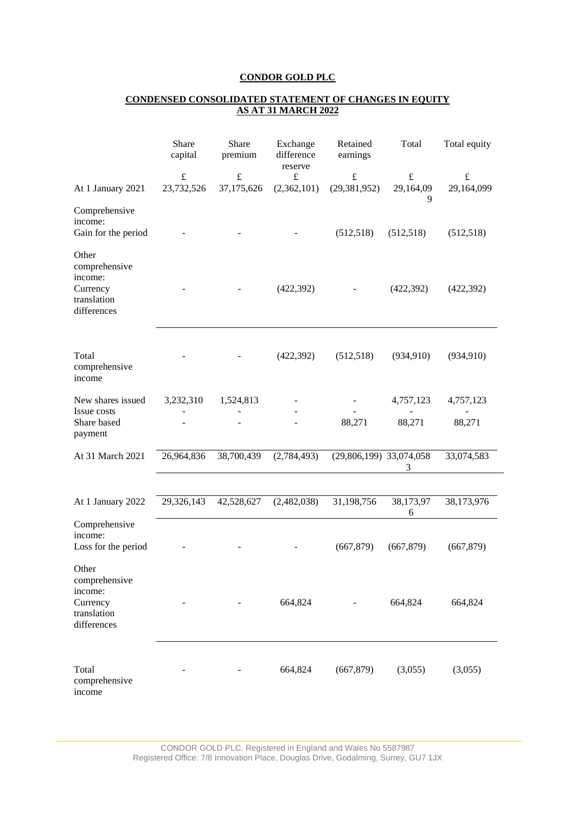## **CONDENSED CONSOLIDATED STATEMENT OF CHANGES IN EQUITY AS AT 31 MARCH 2022**

|                                                                             | Share<br>capital | Share<br>premium | Exchange<br>difference<br>reserve | Retained<br>earnings    | Total          | Total equity |
|-----------------------------------------------------------------------------|------------------|------------------|-----------------------------------|-------------------------|----------------|--------------|
|                                                                             | $\pounds$        | $\pounds$        | $\pounds$                         | $\pounds$               | $\pounds$      | $\pounds$    |
| At 1 January 2021                                                           | 23,732,526       | 37,175,626       | (2,362,101)                       | (29, 381, 952)          | 29,164,09<br>9 | 29,164,099   |
| Comprehensive<br>income:<br>Gain for the period                             |                  |                  |                                   | (512, 518)              | (512, 518)     | (512, 518)   |
| Other<br>comprehensive<br>income:<br>Currency<br>translation<br>differences |                  |                  | (422, 392)                        |                         | (422, 392)     | (422, 392)   |
| Total<br>comprehensive<br>income                                            |                  |                  | (422, 392)                        | (512, 518)              | (934, 910)     | (934, 910)   |
| New shares issued                                                           | 3,232,310        | 1,524,813        |                                   |                         | 4,757,123      | 4,757,123    |
| Issue costs<br>Share based<br>payment                                       |                  |                  |                                   | 88,271                  | 88,271         | 88,271       |
| At 31 March 2021                                                            | 26,964,836       | 38,700,439       | (2,784,493)                       | (29,806,199) 33,074,058 | 3              | 33,074,583   |
|                                                                             |                  |                  |                                   |                         |                |              |
| At 1 January 2022                                                           | 29,326,143       | 42,528,627       | (2,482,038)                       | 31,198,756              | 38,173,97<br>6 | 38,173,976   |
| Comprehensive<br>income:<br>Loss for the period                             |                  |                  |                                   | (667, 879)              | (667, 879)     | (667, 879)   |
| Other<br>comprehensive<br>income:<br>Currency<br>translation<br>differences |                  |                  | 664,824                           |                         | 664,824        | 664,824      |
| Total<br>comprehensive<br>income                                            |                  |                  | 664,824                           | (667, 879)              | (3,055)        | (3,055)      |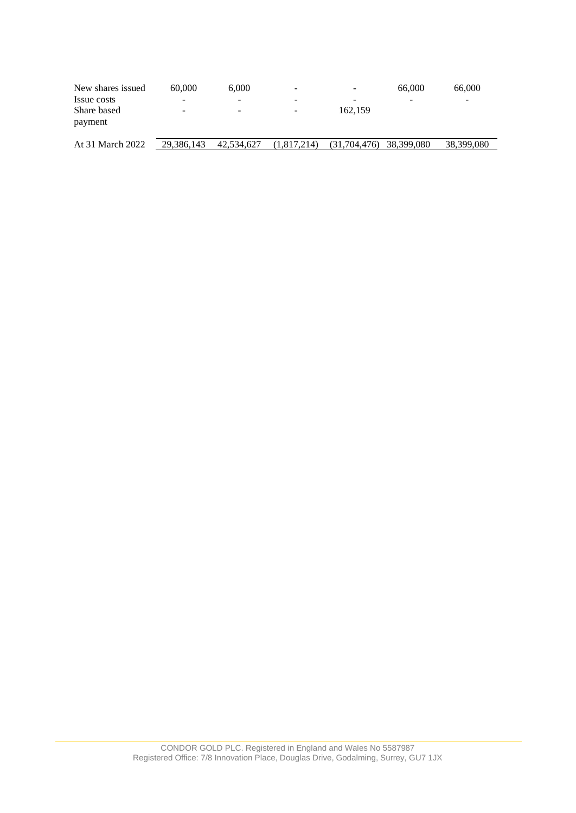| New shares issued      | 60,000                   | 6.000      | -           | $\overline{\phantom{0}}$ | 66,000     | 66,000     |
|------------------------|--------------------------|------------|-------------|--------------------------|------------|------------|
| Issue costs            | $\overline{\phantom{a}}$ |            |             | -                        | -          | -          |
| Share based<br>payment | -                        | -          | -           | 162,159                  |            |            |
| At 31 March 2022       | 29,386,143               | 42,534,627 | (1,817,214) | (31,704,476)             | 38,399,080 | 38,399,080 |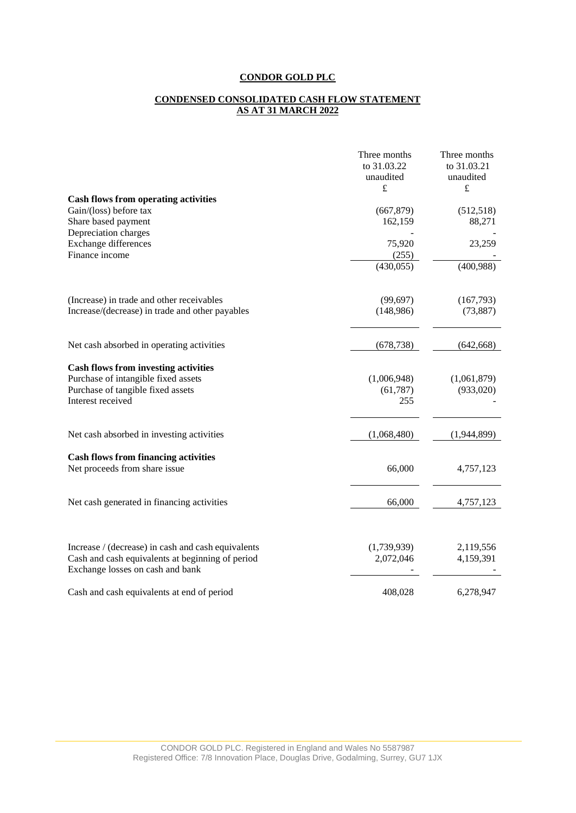#### **CONDENSED CONSOLIDATED CASH FLOW STATEMENT AS AT 31 MARCH 2022**

|                                                                                      | Three months | Three months |
|--------------------------------------------------------------------------------------|--------------|--------------|
|                                                                                      | to 31.03.22  | to 31.03.21  |
|                                                                                      | unaudited    | unaudited    |
|                                                                                      | $\mathbf f$  | $\pounds$    |
| <b>Cash flows from operating activities</b>                                          |              |              |
| Gain/(loss) before tax                                                               | (667, 879)   | (512, 518)   |
| Share based payment                                                                  | 162,159      | 88,271       |
| Depreciation charges                                                                 |              |              |
| Exchange differences                                                                 | 75,920       | 23,259       |
| Finance income                                                                       | (255)        |              |
|                                                                                      | (430, 055)   | (400,988)    |
| (Increase) in trade and other receivables                                            | (99, 697)    | (167,793)    |
| Increase/(decrease) in trade and other payables                                      | (148,986)    | (73, 887)    |
| Net cash absorbed in operating activities                                            | (678, 738)   | (642, 668)   |
|                                                                                      |              |              |
| <b>Cash flows from investing activities</b>                                          |              |              |
| Purchase of intangible fixed assets                                                  | (1,006,948)  | (1,061,879)  |
| Purchase of tangible fixed assets                                                    | (61, 787)    | (933,020)    |
| Interest received                                                                    | 255          |              |
| Net cash absorbed in investing activities                                            | (1,068,480)  | (1,944,899)  |
|                                                                                      |              |              |
| <b>Cash flows from financing activities</b>                                          |              |              |
| Net proceeds from share issue                                                        | 66,000       | 4,757,123    |
| Net cash generated in financing activities                                           | 66,000       | 4,757,123    |
|                                                                                      |              |              |
| Increase / (decrease) in cash and cash equivalents                                   | (1,739,939)  | 2,119,556    |
| Cash and cash equivalents at beginning of period<br>Exchange losses on cash and bank | 2,072,046    | 4,159,391    |
| Cash and cash equivalents at end of period                                           | 408,028      | 6,278,947    |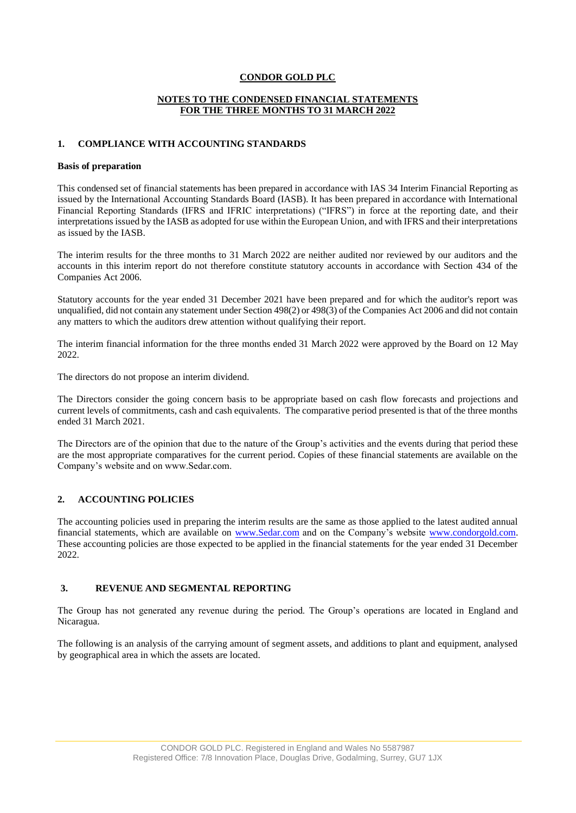#### **NOTES TO THE CONDENSED FINANCIAL STATEMENTS FOR THE THREE MONTHS TO 31 MARCH 2022**

#### **1. COMPLIANCE WITH ACCOUNTING STANDARDS**

#### **Basis of preparation**

This condensed set of financial statements has been prepared in accordance with IAS 34 Interim Financial Reporting as issued by the International Accounting Standards Board (IASB). It has been prepared in accordance with International Financial Reporting Standards (IFRS and IFRIC interpretations) ("IFRS") in force at the reporting date, and their interpretations issued by the IASB as adopted for use within the European Union, and with IFRS and their interpretations as issued by the IASB.

The interim results for the three months to 31 March 2022 are neither audited nor reviewed by our auditors and the accounts in this interim report do not therefore constitute statutory accounts in accordance with Section 434 of the Companies Act 2006.

Statutory accounts for the year ended 31 December 2021 have been prepared and for which the auditor's report was unqualified, did not contain any statement under Section 498(2) or 498(3) of the Companies Act 2006 and did not contain any matters to which the auditors drew attention without qualifying their report.

The interim financial information for the three months ended 31 March 2022 were approved by the Board on 12 May 2022.

The directors do not propose an interim dividend.

The Directors consider the going concern basis to be appropriate based on cash flow forecasts and projections and current levels of commitments, cash and cash equivalents. The comparative period presented is that of the three months ended 31 March 2021.

The Directors are of the opinion that due to the nature of the Group's activities and the events during that period these are the most appropriate comparatives for the current period. Copies of these financial statements are available on the Company's website and on www.Sedar.com.

## **2. ACCOUNTING POLICIES**

The accounting policies used in preparing the interim results are the same as those applied to the latest audited annual financial statements, which are available on [www.Sedar.com](http://www.sedar.com/) and on the Company's website www.condorgold.com. These accounting policies are those expected to be applied in the financial statements for the year ended 31 December 2022.

### **3. REVENUE AND SEGMENTAL REPORTING**

The Group has not generated any revenue during the period. The Group's operations are located in England and Nicaragua.

The following is an analysis of the carrying amount of segment assets, and additions to plant and equipment, analysed by geographical area in which the assets are located.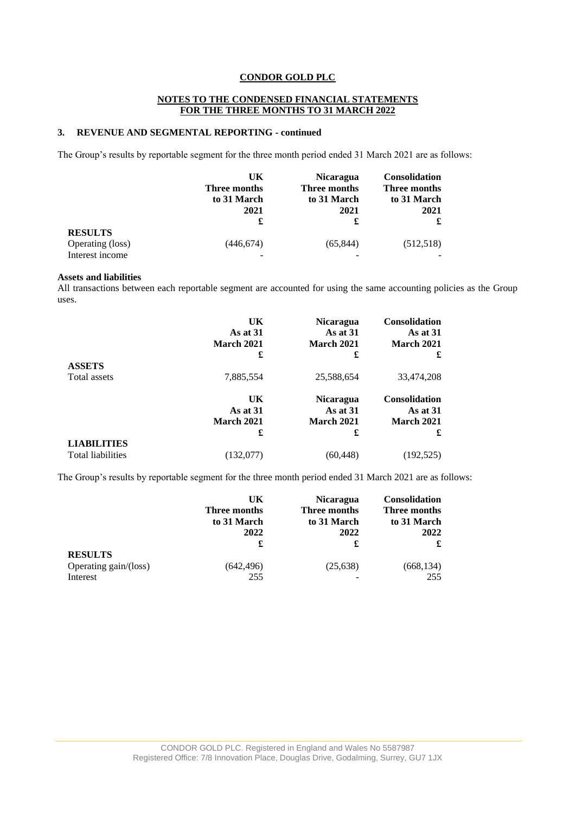### **NOTES TO THE CONDENSED FINANCIAL STATEMENTS FOR THE THREE MONTHS TO 31 MARCH 2022**

## **3. REVENUE AND SEGMENTAL REPORTING - continued**

The Group's results by reportable segment for the three month period ended 31 March 2021 are as follows:

|                                                       | UK<br>Three months<br>to 31 March<br>2021<br>£ | <b>Nicaragua</b><br>Three months<br>to 31 March<br>2021<br>£ | <b>Consolidation</b><br>Three months<br>to 31 March<br>2021 |
|-------------------------------------------------------|------------------------------------------------|--------------------------------------------------------------|-------------------------------------------------------------|
| <b>RESULTS</b><br>Operating (loss)<br>Interest income | (446,674)                                      | (65,844)                                                     | (512, 518)                                                  |

### **Assets and liabilities**

All transactions between each reportable segment are accounted for using the same accounting policies as the Group uses.

|                          | UK<br>As at 31<br><b>March 2021</b><br>£ | <b>Nicaragua</b><br>As at $31$<br>March 2021<br>£ | <b>Consolidation</b><br>As at 31<br><b>March 2021</b><br>£ |
|--------------------------|------------------------------------------|---------------------------------------------------|------------------------------------------------------------|
| <b>ASSETS</b>            |                                          |                                                   |                                                            |
| Total assets             | 7,885,554                                | 25,588,654                                        | 33,474,208                                                 |
|                          | UK                                       | <b>Nicaragua</b>                                  | Consolidation                                              |
|                          | As at 31                                 | As at 31                                          | As at 31                                                   |
|                          | <b>March 2021</b>                        | March 2021                                        | March 2021                                                 |
|                          | £                                        | £                                                 | £                                                          |
| <b>LIABILITIES</b>       |                                          |                                                   |                                                            |
| <b>Total liabilities</b> | (132,077)                                | (60,448)                                          | (192, 525)                                                 |

The Group's results by reportable segment for the three month period ended 31 March 2021 are as follows:

|                                   | UK<br>Three months<br>to 31 March<br>2022 | <b>Nicaragua</b><br>Three months<br>to 31 March<br>2022<br>£ | <b>Consolidation</b><br>Three months<br>to 31 March<br>2022<br>£ |
|-----------------------------------|-------------------------------------------|--------------------------------------------------------------|------------------------------------------------------------------|
| <b>RESULTS</b>                    | £                                         |                                                              |                                                                  |
| Operating gain/(loss)<br>Interest | (642,496)<br>255                          | (25, 638)                                                    | (668, 134)<br>255                                                |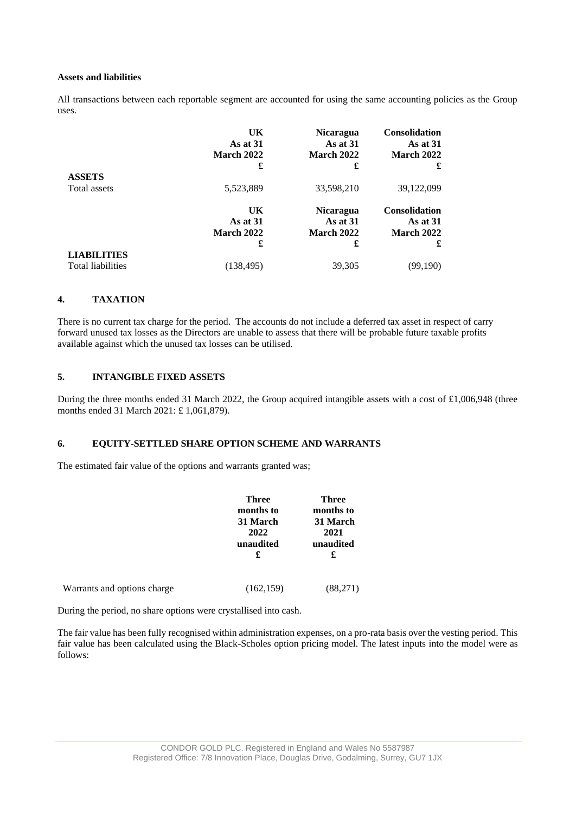#### **Assets and liabilities**

All transactions between each reportable segment are accounted for using the same accounting policies as the Group uses.

|                          | UK<br>As at $31$<br><b>March 2022</b><br>£ | <b>Nicaragua</b><br>As at $31$<br><b>March 2022</b><br>£ | <b>Consolidation</b><br>As at $31$<br><b>March 2022</b><br>£ |
|--------------------------|--------------------------------------------|----------------------------------------------------------|--------------------------------------------------------------|
| <b>ASSETS</b>            |                                            |                                                          |                                                              |
| Total assets             | 5,523,889                                  | 33,598,210                                               | 39,122,099                                                   |
|                          | UK                                         | <b>Nicaragua</b>                                         | Consolidation                                                |
|                          | As at $31$                                 | As at 31                                                 | As at 31                                                     |
|                          | <b>March 2022</b>                          | March 2022                                               | <b>March 2022</b>                                            |
|                          | £                                          | £                                                        | £                                                            |
| <b>LIABILITIES</b>       |                                            |                                                          |                                                              |
| <b>Total liabilities</b> | (138, 495)                                 | 39,305                                                   | (99,190)                                                     |

### **4. TAXATION**

There is no current tax charge for the period. The accounts do not include a deferred tax asset in respect of carry forward unused tax losses as the Directors are unable to assess that there will be probable future taxable profits available against which the unused tax losses can be utilised.

## **5. INTANGIBLE FIXED ASSETS**

During the three months ended 31 March 2022, the Group acquired intangible assets with a cost of £1,006,948 (three months ended 31 March 2021: £ 1,061,879).

### **6. EQUITY-SETTLED SHARE OPTION SCHEME AND WARRANTS**

The estimated fair value of the options and warrants granted was;

|                             | <b>Three</b> | <b>Three</b> |
|-----------------------------|--------------|--------------|
|                             | months to    | months to    |
|                             | 31 March     | 31 March     |
|                             | 2022         | 2021         |
|                             | unaudited    | unaudited    |
|                             | £            | £            |
| Warrants and options charge | (162, 159)   | (88,271)     |

During the period, no share options were crystallised into cash.

The fair value has been fully recognised within administration expenses, on a pro-rata basis over the vesting period. This fair value has been calculated using the Black-Scholes option pricing model. The latest inputs into the model were as follows: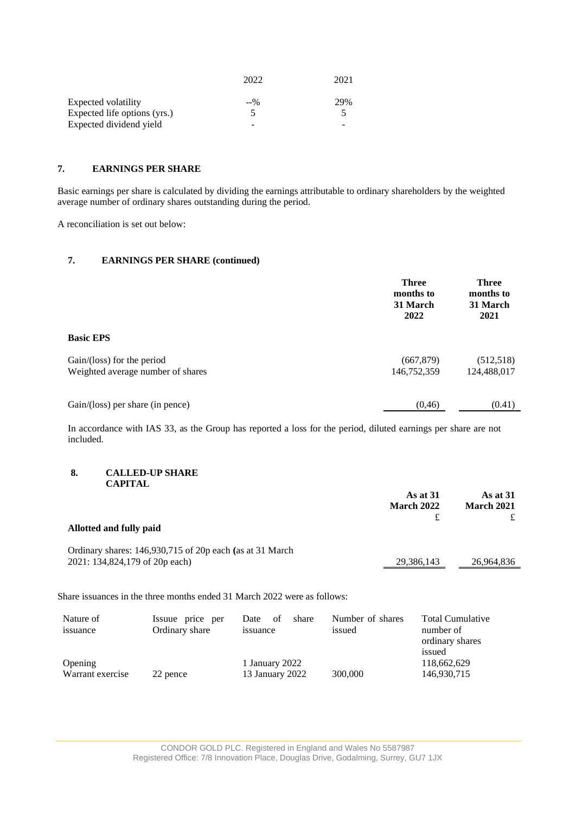|                              | 2022  | 2021 |
|------------------------------|-------|------|
| Expected volatility          | $-90$ | 29%  |
| Expected life options (yrs.) |       |      |
| Expected dividend yield      | -     |      |

## **7. EARNINGS PER SHARE**

Basic earnings per share is calculated by dividing the earnings attributable to ordinary shareholders by the weighted average number of ordinary shares outstanding during the period.

A reconciliation is set out below:

# **7. EARNINGS PER SHARE (continued)**

|                                                                          | <b>Three</b><br>months to<br>31 March<br>2022 | <b>Three</b><br>months to<br>31 March<br>2021 |
|--------------------------------------------------------------------------|-----------------------------------------------|-----------------------------------------------|
| <b>Basic EPS</b>                                                         |                                               |                                               |
| $Gain/(\text{loss})$ for the period<br>Weighted average number of shares | (667, 879)<br>146,752,359                     | (512, 518)<br>124,488,017                     |
| Gain/(loss) per share (in pence)                                         | (0, 46)                                       | (0.41)                                        |

In accordance with IAS 33, as the Group has reported a loss for the period, diluted earnings per share are not included.

#### **8. CALLED-UP SHARE CAPITAL**

| Allotted and fully paid                                                                     | As at 31<br><b>March 2022</b> | As at 31<br><b>March 2021</b> |
|---------------------------------------------------------------------------------------------|-------------------------------|-------------------------------|
| Ordinary shares: 146,930,715 of 20p each (as at 31 March)<br>2021: 134,824,179 of 20p each) | 29,386,143                    | 26,964,836                    |

Share issuances in the three months ended 31 March 2022 were as follows:

| Nature of<br>issuance       | Issuue price per<br>Ordinary share | share<br>Date<br>- of<br>issuance | Number of shares<br>issued | <b>Total Cumulative</b><br>number of<br>ordinary shares<br>issued |
|-----------------------------|------------------------------------|-----------------------------------|----------------------------|-------------------------------------------------------------------|
| Opening<br>Warrant exercise | 22 pence                           | 1 January 2022<br>13 January 2022 | 300,000                    | 118,662,629<br>146,930,715                                        |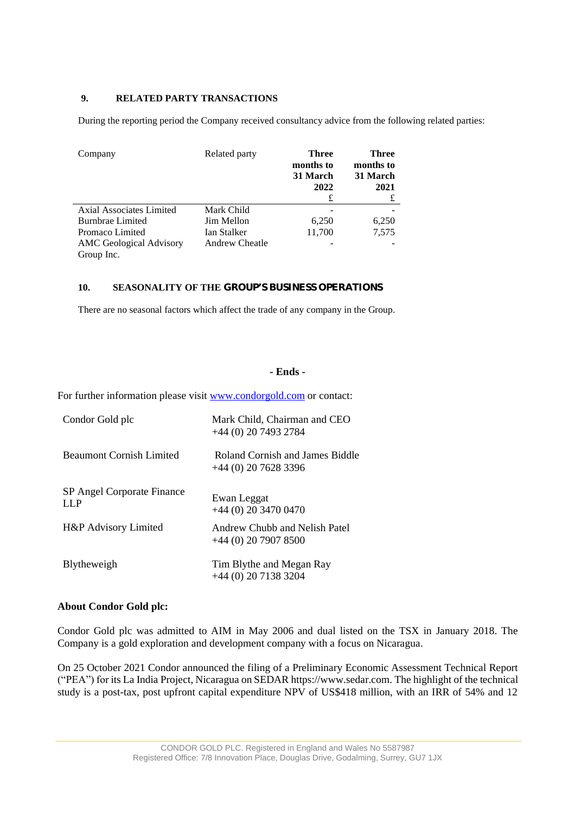## **9. RELATED PARTY TRANSACTIONS**

During the reporting period the Company received consultancy advice from the following related parties:

| Company                                      | Related party  | Three<br>months to<br>31 March<br>2022<br>£ | Three<br>months to<br>31 March<br>2021<br>£ |
|----------------------------------------------|----------------|---------------------------------------------|---------------------------------------------|
| Axial Associates Limited                     | Mark Child     |                                             |                                             |
| <b>Burnbrae Limited</b>                      | Jim Mellon     | 6,250                                       | 6,250                                       |
| Promaco Limited                              | Ian Stalker    | 11,700                                      | 7,575                                       |
| <b>AMC</b> Geological Advisory<br>Group Inc. | Andrew Cheatle |                                             |                                             |
|                                              |                |                                             |                                             |

### **10. SEASONALITY OF THE GROUP'S BUSINESS OPERATIONS**

There are no seasonal factors which affect the trade of any company in the Group.

## **- Ends -**

For further information please visit www.condorgold.com or contact:

| Condor Gold plc                   | Mark Child, Chairman and CEO<br>$+44$ (0) 20 7493 2784   |
|-----------------------------------|----------------------------------------------------------|
| <b>Beaumont Cornish Limited</b>   | Roland Cornish and James Biddle<br>$+44(0)$ 20 7628 3396 |
| SP Angel Corporate Finance<br>LLP | Ewan Leggat<br>$+44$ (0) 20 3470 0470                    |
| H&P Advisory Limited              | Andrew Chubb and Nelish Patel<br>$+44(0)$ 20 7907 8500   |
| <b>B</b> lytheweigh               | Tim Blythe and Megan Ray<br>$+44(0)$ 20 7138 3204        |

### **About Condor Gold plc:**

Condor Gold plc was admitted to AIM in May 2006 and dual listed on the TSX in January 2018. The Company is a gold exploration and development company with a focus on Nicaragua.

On 25 October 2021 Condor announced the filing of a Preliminary Economic Assessment Technical Report ("PEA") for its La India Project, Nicaragua on SEDAR [https://www.sedar.com.](https://www.sedar.com/) The highlight of the technical study is a post-tax, post upfront capital expenditure NPV of US\$418 million, with an IRR of 54% and 12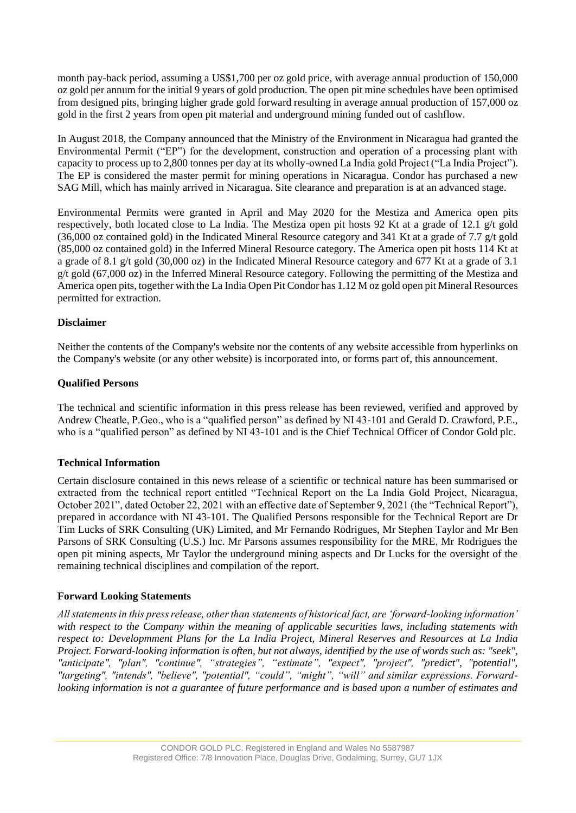month pay-back period, assuming a US\$1,700 per oz gold price, with average annual production of 150,000 oz gold per annum for the initial 9 years of gold production. The open pit mine schedules have been optimised from designed pits, bringing higher grade gold forward resulting in average annual production of 157,000 oz gold in the first 2 years from open pit material and underground mining funded out of cashflow.

In August 2018, the Company announced that the Ministry of the Environment in Nicaragua had granted the Environmental Permit ("EP") for the development, construction and operation of a processing plant with capacity to process up to 2,800 tonnes per day at its wholly-owned La India gold Project ("La India Project"). The EP is considered the master permit for mining operations in Nicaragua. Condor has purchased a new SAG Mill, which has mainly arrived in Nicaragua. Site clearance and preparation is at an advanced stage.

Environmental Permits were granted in April and May 2020 for the Mestiza and America open pits respectively, both located close to La India. The Mestiza open pit hosts 92 Kt at a grade of 12.1 g/t gold (36,000 oz contained gold) in the Indicated Mineral Resource category and 341 Kt at a grade of 7.7 g/t gold (85,000 oz contained gold) in the Inferred Mineral Resource category. The America open pit hosts 114 Kt at a grade of 8.1 g/t gold (30,000 oz) in the Indicated Mineral Resource category and 677 Kt at a grade of 3.1 g/t gold (67,000 oz) in the Inferred Mineral Resource category. Following the permitting of the Mestiza and America open pits, together with the La India Open Pit Condor has 1.12 M oz gold open pit Mineral Resources permitted for extraction.

## **Disclaimer**

Neither the contents of the Company's website nor the contents of any website accessible from hyperlinks on the Company's website (or any other website) is incorporated into, or forms part of, this announcement.

## **Qualified Persons**

The technical and scientific information in this press release has been reviewed, verified and approved by Andrew Cheatle, P.Geo., who is a "qualified person" as defined by NI 43-101 and Gerald D. Crawford, P.E., who is a "qualified person" as defined by NI 43-101 and is the Chief Technical Officer of Condor Gold plc.

# **Technical Information**

Certain disclosure contained in this news release of a scientific or technical nature has been summarised or extracted from the technical report entitled "Technical Report on the La India Gold Project, Nicaragua, October 2021", dated October 22, 2021 with an effective date of September 9, 2021 (the "Technical Report"), prepared in accordance with NI 43-101. The Qualified Persons responsible for the Technical Report are Dr Tim Lucks of SRK Consulting (UK) Limited, and Mr Fernando Rodrigues, Mr Stephen Taylor and Mr Ben Parsons of SRK Consulting (U.S.) Inc. Mr Parsons assumes responsibility for the MRE, Mr Rodrigues the open pit mining aspects, Mr Taylor the underground mining aspects and Dr Lucks for the oversight of the remaining technical disciplines and compilation of the report.

# **Forward Looking Statements**

*All statements in this press release, other than statements of historical fact, are 'forward-looking information' with respect to the Company within the meaning of applicable securities laws, including statements with respect to: Developmment Plans for the La India Project, Mineral Reserves and Resources at La India Project. Forward-looking information is often, but not always, identified by the use of words such as: "seek", "anticipate", "plan", "continue", "strategies", "estimate", "expect", "project", "predict", "potential", "targeting", "intends", "believe", "potential", "could", "might", "will" and similar expressions. Forwardlooking information is not a guarantee of future performance and is based upon a number of estimates and*